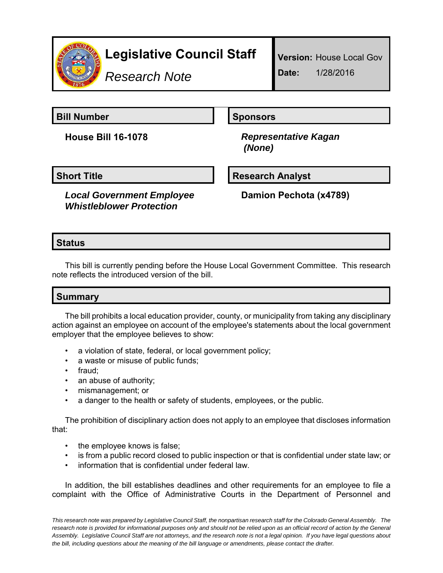

*Research Note*

**Bill Number Sponsors** 

**House Bill 16-1078** *Representative Kagan (None)*

*Local Government Employee Whistleblower Protection*

**Short Title Community Community Community Research Analyst** 

**Damion Pechota (x4789)**

## **Status**

This bill is currently pending before the House Local Government Committee. This research note reflects the introduced version of the bill.

## **Summary**

The bill prohibits a local education provider, county, or municipality from taking any disciplinary action against an employee on account of the employee's statements about the local government employer that the employee believes to show:

- a violation of state, federal, or local government policy;
- a waste or misuse of public funds;
- fraud;
- an abuse of authority;
- mismanagement; or
- a danger to the health or safety of students, employees, or the public.

The prohibition of disciplinary action does not apply to an employee that discloses information that:

- the employee knows is false;
- is from a public record closed to public inspection or that is confidential under state law; or
- information that is confidential under federal law.

In addition, the bill establishes deadlines and other requirements for an employee to file a complaint with the Office of Administrative Courts in the Department of Personnel and